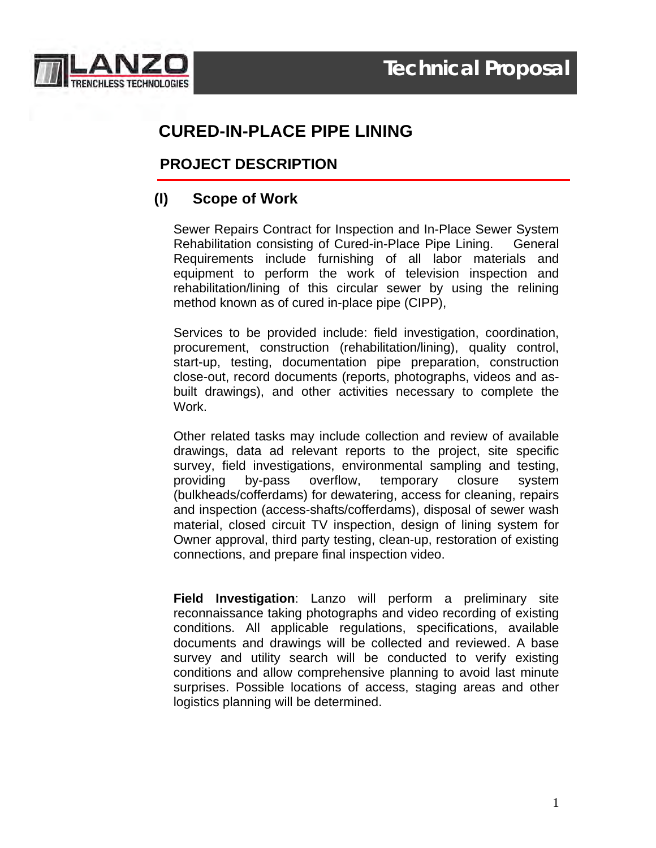

# **CURED-IN-PLACE PIPE LINING**

## **PROJECT DESCRIPTION**

## **(I) Scope of Work**

Sewer Repairs Contract for Inspection and In-Place Sewer System Rehabilitation consisting of Cured-in-Place Pipe Lining. General Requirements include furnishing of all labor materials and equipment to perform the work of television inspection and rehabilitation/lining of this circular sewer by using the relining method known as of cured in-place pipe (CIPP),

Services to be provided include: field investigation, coordination, procurement, construction (rehabilitation/lining), quality control, start-up, testing, documentation pipe preparation, construction close-out, record documents (reports, photographs, videos and asbuilt drawings), and other activities necessary to complete the Work.

Other related tasks may include collection and review of available drawings, data ad relevant reports to the project, site specific survey, field investigations, environmental sampling and testing, providing by-pass overflow, temporary closure system (bulkheads/cofferdams) for dewatering, access for cleaning, repairs and inspection (access-shafts/cofferdams), disposal of sewer wash material, closed circuit TV inspection, design of lining system for Owner approval, third party testing, clean-up, restoration of existing connections, and prepare final inspection video.

**Field Investigation**: Lanzo will perform a preliminary site reconnaissance taking photographs and video recording of existing conditions. All applicable regulations, specifications, available documents and drawings will be collected and reviewed. A base survey and utility search will be conducted to verify existing conditions and allow comprehensive planning to avoid last minute surprises. Possible locations of access, staging areas and other logistics planning will be determined.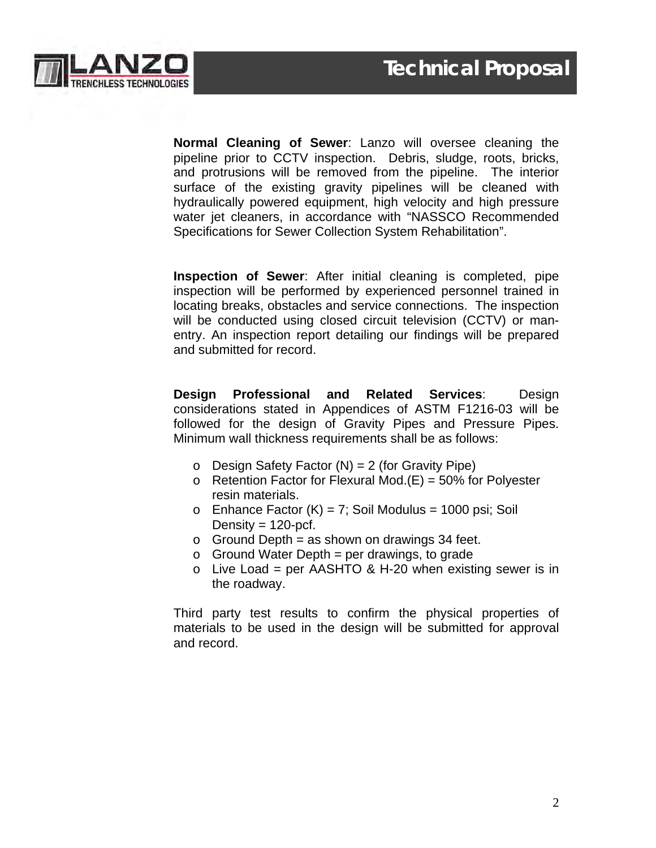

**Normal Cleaning of Sewer**: Lanzo will oversee cleaning the pipeline prior to CCTV inspection. Debris, sludge, roots, bricks, and protrusions will be removed from the pipeline. The interior surface of the existing gravity pipelines will be cleaned with hydraulically powered equipment, high velocity and high pressure water jet cleaners, in accordance with "NASSCO Recommended Specifications for Sewer Collection System Rehabilitation".

**Inspection of Sewer**: After initial cleaning is completed, pipe inspection will be performed by experienced personnel trained in locating breaks, obstacles and service connections. The inspection will be conducted using closed circuit television (CCTV) or manentry. An inspection report detailing our findings will be prepared and submitted for record.

**Design Professional and Related Services**: Design considerations stated in Appendices of ASTM F1216-03 will be followed for the design of Gravity Pipes and Pressure Pipes. Minimum wall thickness requirements shall be as follows:

- $\circ$  Design Safety Factor (N) = 2 (for Gravity Pipe)
- $\circ$  Retention Factor for Flexural Mod.(E) = 50% for Polyester resin materials.
- $\circ$  Enhance Factor (K) = 7; Soil Modulus = 1000 psi; Soil Density =  $120$ -pcf.
- $\circ$  Ground Depth = as shown on drawings 34 feet.
- $\circ$  Ground Water Depth = per drawings, to grade
- $\circ$  Live Load = per AASHTO & H-20 when existing sewer is in the roadway.

Third party test results to confirm the physical properties of materials to be used in the design will be submitted for approval and record.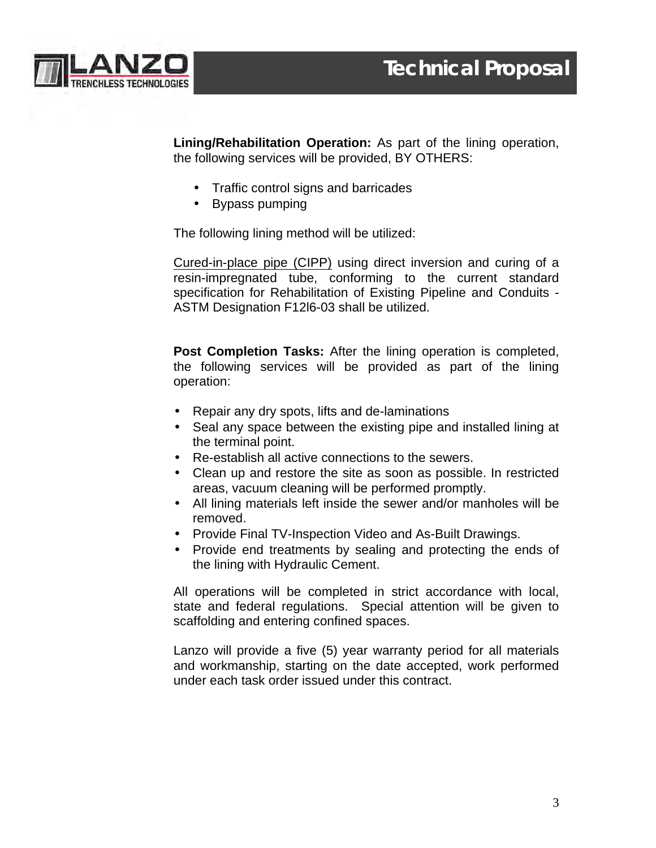

**Lining/Rehabilitation Operation:** As part of the lining operation, the following services will be provided, BY OTHERS:

- Traffic control signs and barricades
- Bypass pumping

The following lining method will be utilized:

Cured-in-place pipe (CIPP) using direct inversion and curing of a resin-impregnated tube, conforming to the current standard specification for Rehabilitation of Existing Pipeline and Conduits - ASTM Designation F12l6-03 shall be utilized.

**Post Completion Tasks:** After the lining operation is completed, the following services will be provided as part of the lining operation:

- Repair any dry spots, lifts and de-laminations
- Seal any space between the existing pipe and installed lining at the terminal point.
- Re-establish all active connections to the sewers.
- Clean up and restore the site as soon as possible. In restricted areas, vacuum cleaning will be performed promptly.
- All lining materials left inside the sewer and/or manholes will be removed.
- Provide Final TV-Inspection Video and As-Built Drawings.
- Provide end treatments by sealing and protecting the ends of the lining with Hydraulic Cement.

All operations will be completed in strict accordance with local, state and federal regulations. Special attention will be given to scaffolding and entering confined spaces.

Lanzo will provide a five (5) year warranty period for all materials and workmanship, starting on the date accepted, work performed under each task order issued under this contract.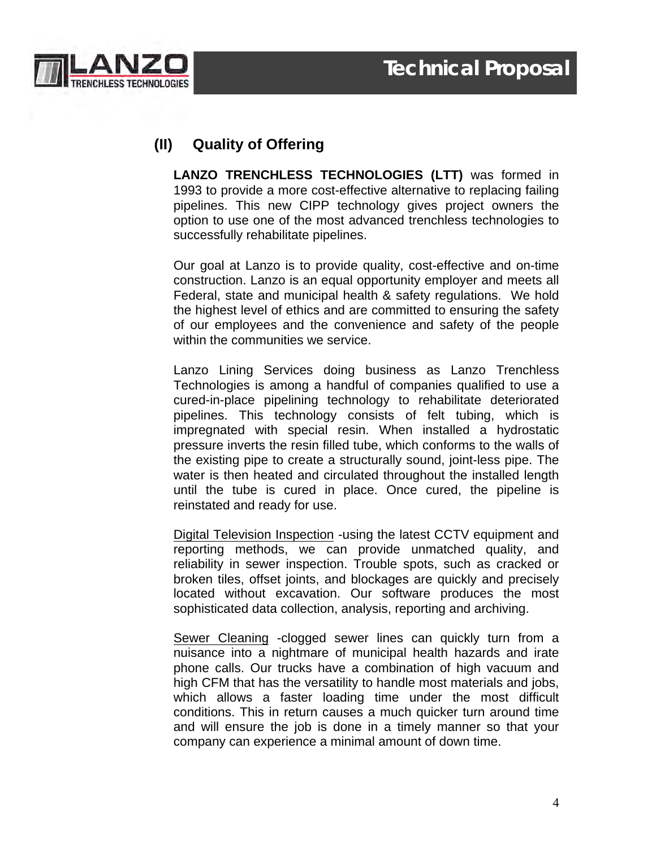

# **(II) Quality of Offering**

**LANZO TRENCHLESS TECHNOLOGIES (LTT)** was formed in 1993 to provide a more cost-effective alternative to replacing failing pipelines. This new CIPP technology gives project owners the option to use one of the most advanced trenchless technologies to successfully rehabilitate pipelines.

Our goal at Lanzo is to provide quality, cost-effective and on-time construction. Lanzo is an equal opportunity employer and meets all Federal, state and municipal health & safety regulations. We hold the highest level of ethics and are committed to ensuring the safety of our employees and the convenience and safety of the people within the communities we service.

Lanzo Lining Services doing business as Lanzo Trenchless Technologies is among a handful of companies qualified to use a cured-in-place pipelining technology to rehabilitate deteriorated pipelines. This technology consists of felt tubing, which is impregnated with special resin. When installed a hydrostatic pressure inverts the resin filled tube, which conforms to the walls of the existing pipe to create a structurally sound, joint-less pipe. The water is then heated and circulated throughout the installed length until the tube is cured in place. Once cured, the pipeline is reinstated and ready for use.

Digital Television Inspection -using the latest CCTV equipment and reporting methods, we can provide unmatched quality, and reliability in sewer inspection. Trouble spots, such as cracked or broken tiles, offset joints, and blockages are quickly and precisely located without excavation. Our software produces the most sophisticated data collection, analysis, reporting and archiving.

Sewer Cleaning -clogged sewer lines can quickly turn from a nuisance into a nightmare of municipal health hazards and irate phone calls. Our trucks have a combination of high vacuum and high CFM that has the versatility to handle most materials and jobs, which allows a faster loading time under the most difficult conditions. This in return causes a much quicker turn around time and will ensure the job is done in a timely manner so that your company can experience a minimal amount of down time.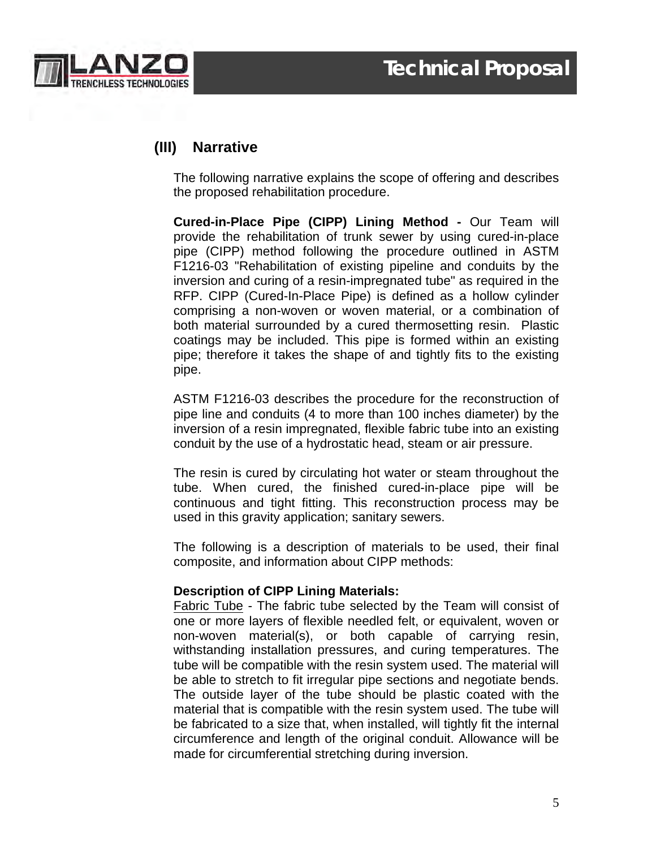



## **(III) Narrative**

The following narrative explains the scope of offering and describes the proposed rehabilitation procedure.

**Cured-in-Place Pipe (CIPP) Lining Method -** Our Team will provide the rehabilitation of trunk sewer by using cured-in-place pipe (CIPP) method following the procedure outlined in ASTM F1216-03 "Rehabilitation of existing pipeline and conduits by the inversion and curing of a resin-impregnated tube" as required in the RFP. CIPP (Cured-In-Place Pipe) is defined as a hollow cylinder comprising a non-woven or woven material, or a combination of both material surrounded by a cured thermosetting resin. Plastic coatings may be included. This pipe is formed within an existing pipe; therefore it takes the shape of and tightly fits to the existing pipe.

ASTM F1216-03 describes the procedure for the reconstruction of pipe line and conduits (4 to more than 100 inches diameter) by the inversion of a resin impregnated, flexible fabric tube into an existing conduit by the use of a hydrostatic head, steam or air pressure.

The resin is cured by circulating hot water or steam throughout the tube. When cured, the finished cured-in-place pipe will be continuous and tight fitting. This reconstruction process may be used in this gravity application; sanitary sewers.

The following is a description of materials to be used, their final composite, and information about CIPP methods:

#### **Description of CIPP Lining Materials:**

Fabric Tube - The fabric tube selected by the Team will consist of one or more layers of flexible needled felt, or equivalent, woven or non-woven material(s), or both capable of carrying resin, withstanding installation pressures, and curing temperatures. The tube will be compatible with the resin system used. The material will be able to stretch to fit irregular pipe sections and negotiate bends. The outside layer of the tube should be plastic coated with the material that is compatible with the resin system used. The tube will be fabricated to a size that, when installed, will tightly fit the internal circumference and length of the original conduit. Allowance will be made for circumferential stretching during inversion.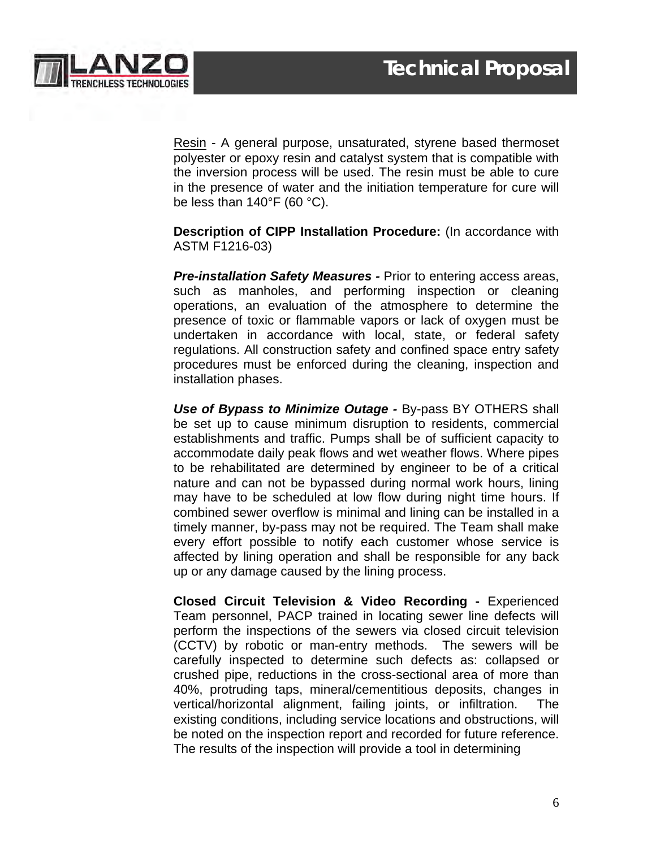

Resin - A general purpose, unsaturated, styrene based thermoset polyester or epoxy resin and catalyst system that is compatible with the inversion process will be used. The resin must be able to cure in the presence of water and the initiation temperature for cure will be less than 140°F (60 °C).

**Description of CIPP Installation Procedure:** (In accordance with ASTM F1216-03)

*Pre-installation Safety Measures -* Prior to entering access areas, such as manholes, and performing inspection or cleaning operations, an evaluation of the atmosphere to determine the presence of toxic or flammable vapors or lack of oxygen must be undertaken in accordance with local, state, or federal safety regulations. All construction safety and confined space entry safety procedures must be enforced during the cleaning, inspection and installation phases.

*Use of Bypass to Minimize Outage -* By-pass BY OTHERS shall be set up to cause minimum disruption to residents, commercial establishments and traffic. Pumps shall be of sufficient capacity to accommodate daily peak flows and wet weather flows. Where pipes to be rehabilitated are determined by engineer to be of a critical nature and can not be bypassed during normal work hours, lining may have to be scheduled at low flow during night time hours. If combined sewer overflow is minimal and lining can be installed in a timely manner, by-pass may not be required. The Team shall make every effort possible to notify each customer whose service is affected by lining operation and shall be responsible for any back up or any damage caused by the lining process.

**Closed Circuit Television & Video Recording -** Experienced Team personnel, PACP trained in locating sewer line defects will perform the inspections of the sewers via closed circuit television (CCTV) by robotic or man-entry methods. The sewers will be carefully inspected to determine such defects as: collapsed or crushed pipe, reductions in the cross-sectional area of more than 40%, protruding taps, mineral/cementitious deposits, changes in vertical/horizontal alignment, failing joints, or infiltration. The existing conditions, including service locations and obstructions, will be noted on the inspection report and recorded for future reference. The results of the inspection will provide a tool in determining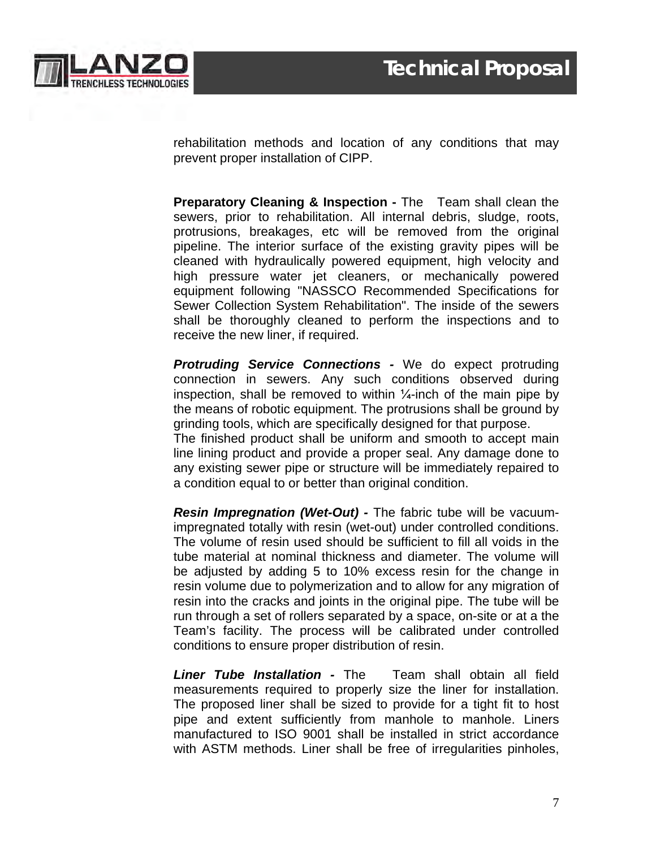

rehabilitation methods and location of any conditions that may prevent proper installation of CIPP.

**Preparatory Cleaning & Inspection -** The Team shall clean the sewers, prior to rehabilitation. All internal debris, sludge, roots, protrusions, breakages, etc will be removed from the original pipeline. The interior surface of the existing gravity pipes will be cleaned with hydraulically powered equipment, high velocity and high pressure water jet cleaners, or mechanically powered equipment following "NASSCO Recommended Specifications for Sewer Collection System Rehabilitation". The inside of the sewers shall be thoroughly cleaned to perform the inspections and to receive the new liner, if required.

*Protruding Service Connections -* We do expect protruding connection in sewers. Any such conditions observed during inspection, shall be removed to within  $\frac{1}{4}$ -inch of the main pipe by the means of robotic equipment. The protrusions shall be ground by grinding tools, which are specifically designed for that purpose.

The finished product shall be uniform and smooth to accept main line lining product and provide a proper seal. Any damage done to any existing sewer pipe or structure will be immediately repaired to a condition equal to or better than original condition.

*Resin Impregnation (Wet-Out) -* The fabric tube will be vacuumimpregnated totally with resin (wet-out) under controlled conditions. The volume of resin used should be sufficient to fill all voids in the tube material at nominal thickness and diameter. The volume will be adjusted by adding 5 to 10% excess resin for the change in resin volume due to polymerization and to allow for any migration of resin into the cracks and joints in the original pipe. The tube will be run through a set of rollers separated by a space, on-site or at a the Team's facility. The process will be calibrated under controlled conditions to ensure proper distribution of resin.

*Liner Tube Installation -* The Team shall obtain all field measurements required to properly size the liner for installation. The proposed liner shall be sized to provide for a tight fit to host pipe and extent sufficiently from manhole to manhole. Liners manufactured to ISO 9001 shall be installed in strict accordance with ASTM methods. Liner shall be free of irregularities pinholes,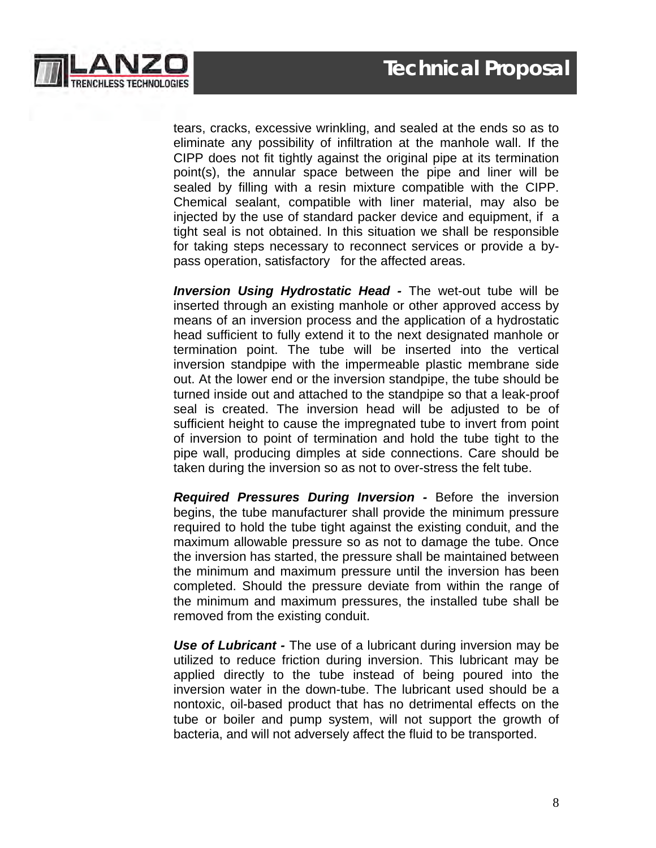

tears, cracks, excessive wrinkling, and sealed at the ends so as to eliminate any possibility of infiltration at the manhole wall. If the CIPP does not fit tightly against the original pipe at its termination point(s), the annular space between the pipe and liner will be sealed by filling with a resin mixture compatible with the CIPP. Chemical sealant, compatible with liner material, may also be injected by the use of standard packer device and equipment, if a tight seal is not obtained. In this situation we shall be responsible for taking steps necessary to reconnect services or provide a bypass operation, satisfactory for the affected areas.

*Inversion Using Hydrostatic Head -* The wet-out tube will be inserted through an existing manhole or other approved access by means of an inversion process and the application of a hydrostatic head sufficient to fully extend it to the next designated manhole or termination point. The tube will be inserted into the vertical inversion standpipe with the impermeable plastic membrane side out. At the lower end or the inversion standpipe, the tube should be turned inside out and attached to the standpipe so that a leak-proof seal is created. The inversion head will be adjusted to be of sufficient height to cause the impregnated tube to invert from point of inversion to point of termination and hold the tube tight to the pipe wall, producing dimples at side connections. Care should be taken during the inversion so as not to over-stress the felt tube.

*Required Pressures During Inversion -* Before the inversion begins, the tube manufacturer shall provide the minimum pressure required to hold the tube tight against the existing conduit, and the maximum allowable pressure so as not to damage the tube. Once the inversion has started, the pressure shall be maintained between the minimum and maximum pressure until the inversion has been completed. Should the pressure deviate from within the range of the minimum and maximum pressures, the installed tube shall be removed from the existing conduit.

*Use of Lubricant -* The use of a lubricant during inversion may be utilized to reduce friction during inversion. This lubricant may be applied directly to the tube instead of being poured into the inversion water in the down-tube. The lubricant used should be a nontoxic, oil-based product that has no detrimental effects on the tube or boiler and pump system, will not support the growth of bacteria, and will not adversely affect the fluid to be transported.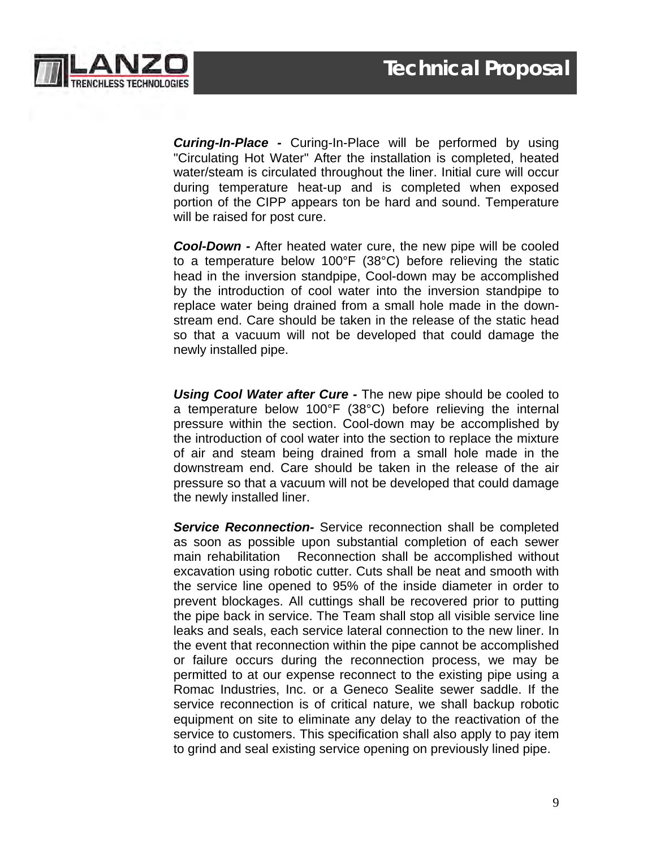

*Curing-In-Place -* Curing-In-Place will be performed by using "Circulating Hot Water" After the installation is completed, heated water/steam is circulated throughout the liner. Initial cure will occur during temperature heat-up and is completed when exposed portion of the CIPP appears ton be hard and sound. Temperature will be raised for post cure.

*Cool-Down -* After heated water cure, the new pipe will be cooled to a temperature below 100°F (38°C) before relieving the static head in the inversion standpipe, Cool-down may be accomplished by the introduction of cool water into the inversion standpipe to replace water being drained from a small hole made in the downstream end. Care should be taken in the release of the static head so that a vacuum will not be developed that could damage the newly installed pipe.

*Using Cool Water after Cure -* The new pipe should be cooled to a temperature below 100°F (38°C) before relieving the internal pressure within the section. Cool-down may be accomplished by the introduction of cool water into the section to replace the mixture of air and steam being drained from a small hole made in the downstream end. Care should be taken in the release of the air pressure so that a vacuum will not be developed that could damage the newly installed liner.

*Service Reconnection-* Service reconnection shall be completed as soon as possible upon substantial completion of each sewer main rehabilitation Reconnection shall be accomplished without excavation using robotic cutter. Cuts shall be neat and smooth with the service line opened to 95% of the inside diameter in order to prevent blockages. All cuttings shall be recovered prior to putting the pipe back in service. The Team shall stop all visible service line leaks and seals, each service lateral connection to the new liner. In the event that reconnection within the pipe cannot be accomplished or failure occurs during the reconnection process, we may be permitted to at our expense reconnect to the existing pipe using a Romac Industries, Inc. or a Geneco Sealite sewer saddle. If the service reconnection is of critical nature, we shall backup robotic equipment on site to eliminate any delay to the reactivation of the service to customers. This specification shall also apply to pay item to grind and seal existing service opening on previously lined pipe.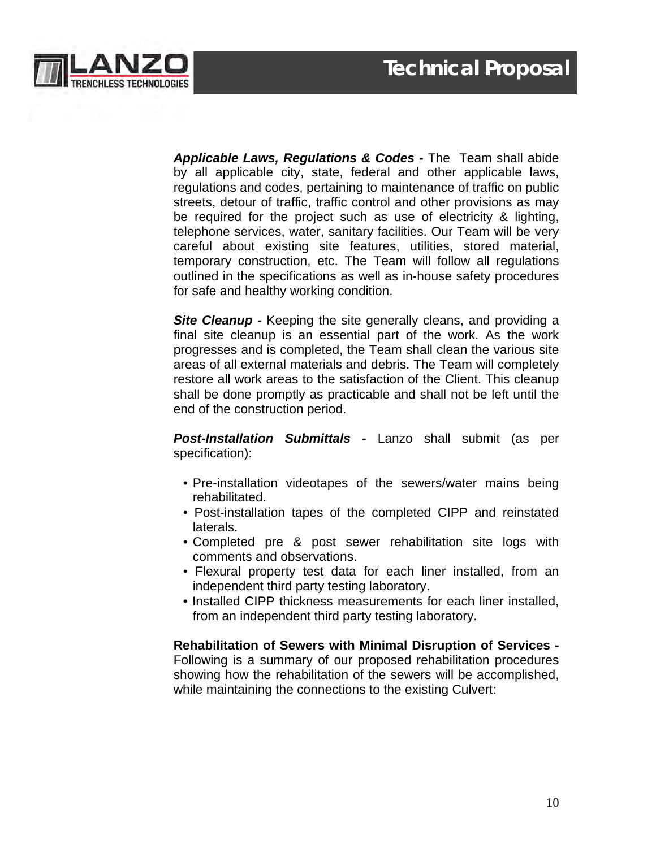

*Applicable Laws, Regulations & Codes -* The Team shall abide by all applicable city, state, federal and other applicable laws, regulations and codes, pertaining to maintenance of traffic on public streets, detour of traffic, traffic control and other provisions as may be required for the project such as use of electricity & lighting, telephone services, water, sanitary facilities. Our Team will be very careful about existing site features, utilities, stored material, temporary construction, etc. The Team will follow all regulations outlined in the specifications as well as in-house safety procedures for safe and healthy working condition.

**Site Cleanup** - Keeping the site generally cleans, and providing a final site cleanup is an essential part of the work. As the work progresses and is completed, the Team shall clean the various site areas of all external materials and debris. The Team will completely restore all work areas to the satisfaction of the Client. This cleanup shall be done promptly as practicable and shall not be left until the end of the construction period.

*Post-Installation Submittals -* Lanzo shall submit (as per specification):

- Pre-installation videotapes of the sewers/water mains being rehabilitated.
- Post-installation tapes of the completed CIPP and reinstated laterals.
- Completed pre & post sewer rehabilitation site logs with comments and observations.
- Flexural property test data for each liner installed, from an independent third party testing laboratory.
- Installed CIPP thickness measurements for each liner installed, from an independent third party testing laboratory.

**Rehabilitation of Sewers with Minimal Disruption of Services -** Following is a summary of our proposed rehabilitation procedures showing how the rehabilitation of the sewers will be accomplished, while maintaining the connections to the existing Culvert: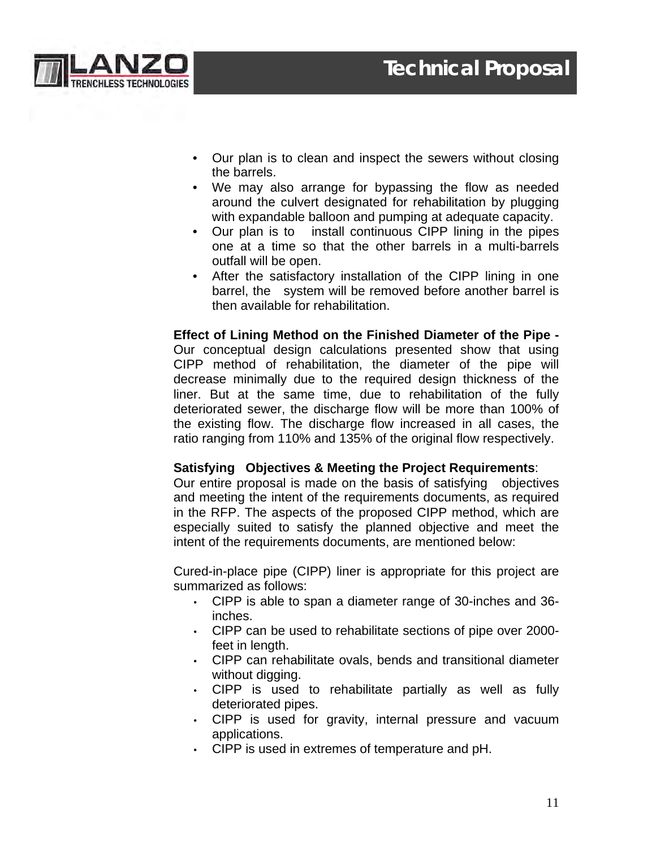



- Our plan is to clean and inspect the sewers without closing the barrels.
- We may also arrange for bypassing the flow as needed around the culvert designated for rehabilitation by plugging with expandable balloon and pumping at adequate capacity.
- Our plan is to install continuous CIPP lining in the pipes one at a time so that the other barrels in a multi-barrels outfall will be open.
- After the satisfactory installation of the CIPP lining in one barrel, the system will be removed before another barrel is then available for rehabilitation.

**Effect of Lining Method on the Finished Diameter of the Pipe -** Our conceptual design calculations presented show that using CIPP method of rehabilitation, the diameter of the pipe will decrease minimally due to the required design thickness of the liner. But at the same time, due to rehabilitation of the fully deteriorated sewer, the discharge flow will be more than 100% of the existing flow. The discharge flow increased in all cases, the ratio ranging from 110% and 135% of the original flow respectively.

#### **Satisfying Objectives & Meeting the Project Requirements**:

Our entire proposal is made on the basis of satisfying objectives and meeting the intent of the requirements documents, as required in the RFP. The aspects of the proposed CIPP method, which are especially suited to satisfy the planned objective and meet the intent of the requirements documents, are mentioned below:

Cured-in-place pipe (CIPP) liner is appropriate for this project are summarized as follows:

- CIPP is able to span a diameter range of 30-inches and 36 inches.
- CIPP can be used to rehabilitate sections of pipe over 2000 feet in length.
- CIPP can rehabilitate ovals, bends and transitional diameter without digging.
- CIPP is used to rehabilitate partially as well as fully deteriorated pipes.
- CIPP is used for gravity, internal pressure and vacuum applications.
- CIPP is used in extremes of temperature and pH.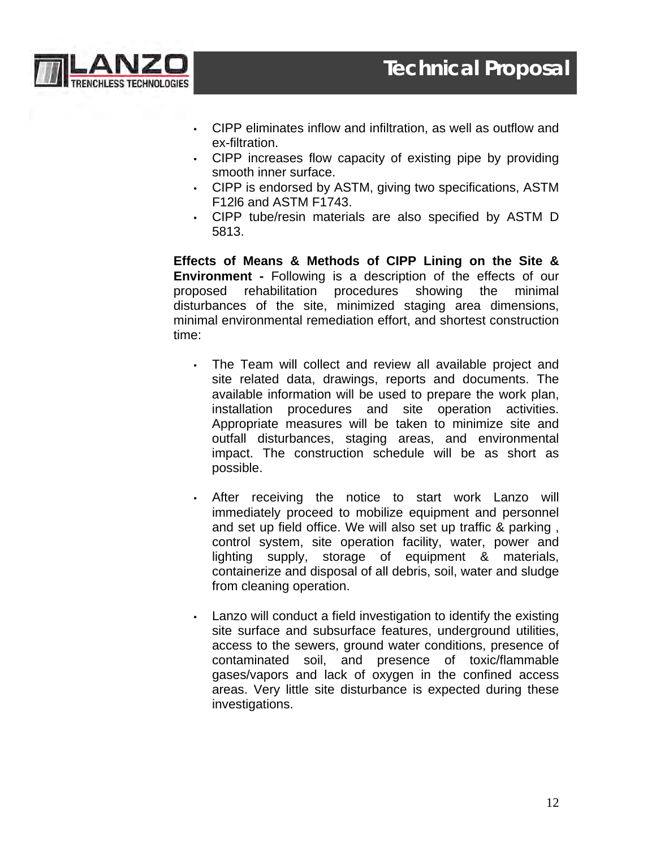

- CIPP eliminates inflow and infiltration, as well as outflow and ex-filtration.
- CIPP increases flow capacity of existing pipe by providing smooth inner surface.
- CIPP is endorsed by ASTM, giving two specifications, ASTM F12l6 and ASTM F1743.
- CIPP tube/resin materials are also specified by ASTM D 5813.

**Effects of Means & Methods of CIPP Lining on the Site & Environment -** Following is a description of the effects of our proposed rehabilitation procedures showing the minimal disturbances of the site, minimized staging area dimensions, minimal environmental remediation effort, and shortest construction time:

- The Team will collect and review all available project and site related data, drawings, reports and documents. The available information will be used to prepare the work plan, installation procedures and site operation activities. Appropriate measures will be taken to minimize site and outfall disturbances, staging areas, and environmental impact. The construction schedule will be as short as possible.
- After receiving the notice to start work Lanzo will immediately proceed to mobilize equipment and personnel and set up field office. We will also set up traffic & parking , control system, site operation facility, water, power and lighting supply, storage of equipment & materials, containerize and disposal of all debris, soil, water and sludge from cleaning operation.
- Lanzo will conduct a field investigation to identify the existing site surface and subsurface features, underground utilities, access to the sewers, ground water conditions, presence of contaminated soil, and presence of toxic/flammable gases/vapors and lack of oxygen in the confined access areas. Very little site disturbance is expected during these investigations.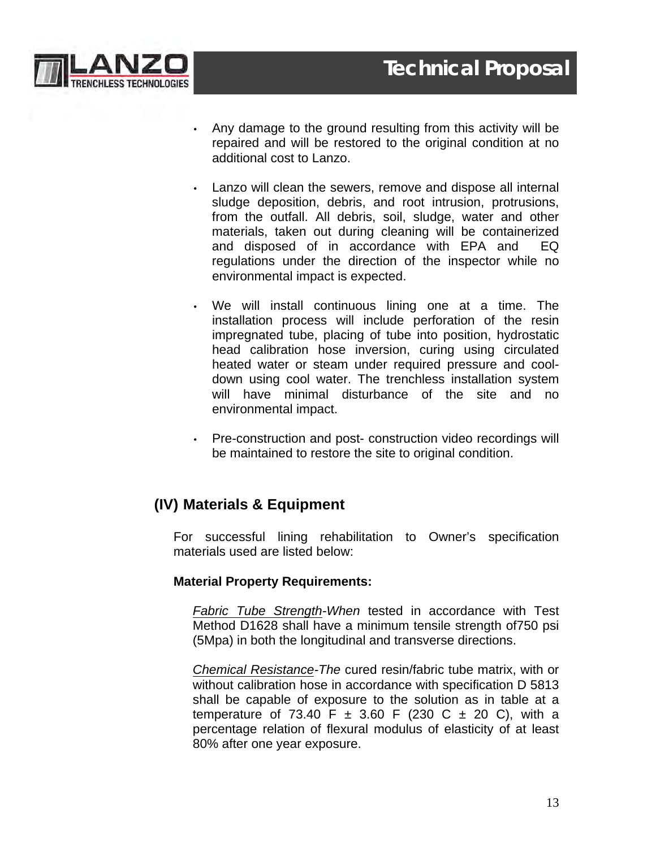

- Any damage to the ground resulting from this activity will be repaired and will be restored to the original condition at no additional cost to Lanzo.
- Lanzo will clean the sewers, remove and dispose all internal sludge deposition, debris, and root intrusion, protrusions, from the outfall. All debris, soil, sludge, water and other materials, taken out during cleaning will be containerized and disposed of in accordance with EPA and EQ regulations under the direction of the inspector while no environmental impact is expected.
- We will install continuous lining one at a time. The installation process will include perforation of the resin impregnated tube, placing of tube into position, hydrostatic head calibration hose inversion, curing using circulated heated water or steam under required pressure and cooldown using cool water. The trenchless installation system will have minimal disturbance of the site and no environmental impact.
- Pre-construction and post- construction video recordings will be maintained to restore the site to original condition.

## **(IV) Materials & Equipment**

For successful lining rehabilitation to Owner's specification materials used are listed below:

#### **Material Property Requirements:**

*Fabric Tube Strength-When* tested in accordance with Test Method D1628 shall have a minimum tensile strength of750 psi (5Mpa) in both the longitudinal and transverse directions.

*Chemical Resistance-The* cured resin/fabric tube matrix, with or without calibration hose in accordance with specification D 5813 shall be capable of exposure to the solution as in table at a temperature of 73.40 F  $\pm$  3.60 F (230 C  $\pm$  20 C), with a percentage relation of flexural modulus of elasticity of at least 80% after one year exposure.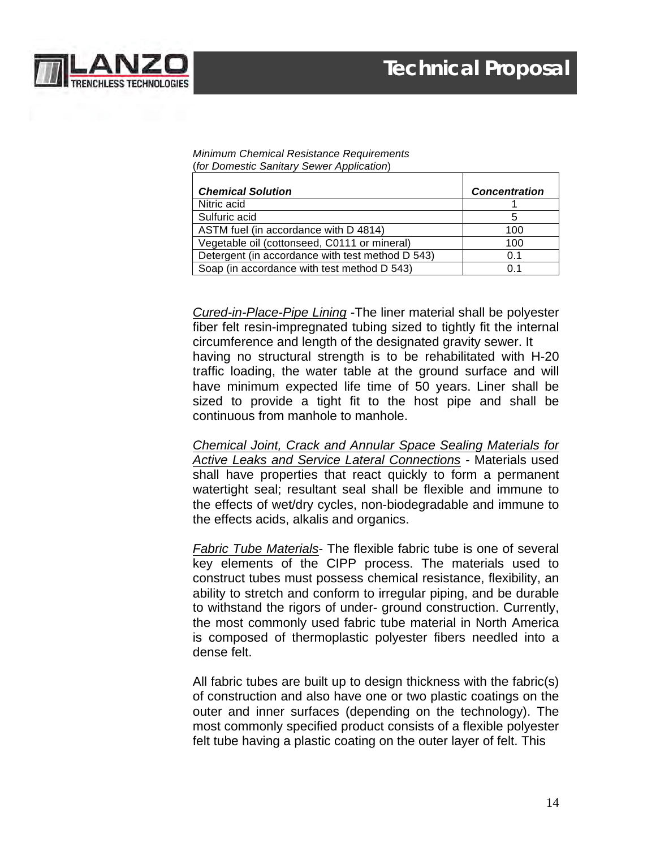

#### *Minimum Chemical Resistance Requirements* (*for Domestic Sanitary Sewer Application*)

| <b>Chemical Solution</b>                         | <b>Concentration</b> |
|--------------------------------------------------|----------------------|
| Nitric acid                                      |                      |
| Sulfuric acid                                    |                      |
| ASTM fuel (in accordance with D 4814)            | 100                  |
| Vegetable oil (cottonseed, C0111 or mineral)     | 100                  |
| Detergent (in accordance with test method D 543) | 0.1                  |
| Soap (in accordance with test method D 543)      | 0 1                  |

*Cured-in-Place-Pipe Lining* -The liner material shall be polyester fiber felt resin-impregnated tubing sized to tightly fit the internal circumference and length of the designated gravity sewer. It having no structural strength is to be rehabilitated with H-20 traffic loading, the water table at the ground surface and will have minimum expected life time of 50 years. Liner shall be sized to provide a tight fit to the host pipe and shall be continuous from manhole to manhole.

*Chemical Joint, Crack and Annular Space Sealing Materials for Active Leaks and Service Lateral Connections -* Materials used shall have properties that react quickly to form a permanent watertight seal; resultant seal shall be flexible and immune to the effects of wet/dry cycles, non-biodegradable and immune to the effects acids, alkalis and organics.

*Fabric Tube Materials-* The flexible fabric tube is one of several key elements of the CIPP process. The materials used to construct tubes must possess chemical resistance, flexibility, an ability to stretch and conform to irregular piping, and be durable to withstand the rigors of under- ground construction. Currently, the most commonly used fabric tube material in North America is composed of thermoplastic polyester fibers needled into a dense felt.

All fabric tubes are built up to design thickness with the fabric(s) of construction and also have one or two plastic coatings on the outer and inner surfaces (depending on the technology). The most commonly specified product consists of a flexible polyester felt tube having a plastic coating on the outer layer of felt. This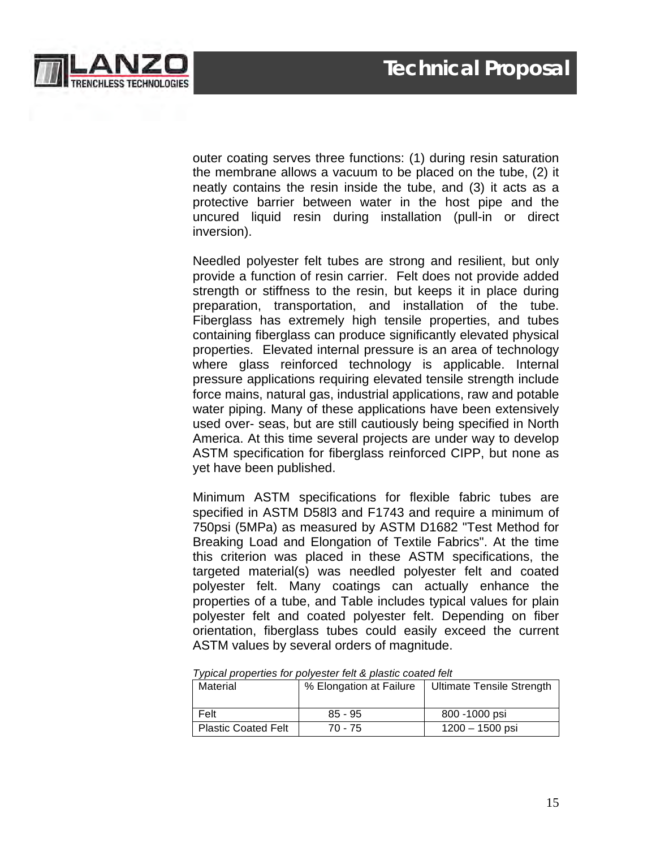

outer coating serves three functions: (1) during resin saturation the membrane allows a vacuum to be placed on the tube, (2) it neatly contains the resin inside the tube, and (3) it acts as a protective barrier between water in the host pipe and the uncured liquid resin during installation (pull-in or direct inversion).

Needled polyester felt tubes are strong and resilient, but only provide a function of resin carrier. Felt does not provide added strength or stiffness to the resin, but keeps it in place during preparation, transportation, and installation of the tube. Fiberglass has extremely high tensile properties, and tubes containing fiberglass can produce significantly elevated physical properties. Elevated internal pressure is an area of technology where glass reinforced technology is applicable. Internal pressure applications requiring elevated tensile strength include force mains, natural gas, industrial applications, raw and potable water piping. Many of these applications have been extensively used over- seas, but are still cautiously being specified in North America. At this time several projects are under way to develop ASTM specification for fiberglass reinforced CIPP, but none as yet have been published.

Minimum ASTM specifications for flexible fabric tubes are specified in ASTM D58l3 and F1743 and require a minimum of 750psi (5MPa) as measured by ASTM D1682 "Test Method for Breaking Load and Elongation of Textile Fabrics". At the time this criterion was placed in these ASTM specifications, the targeted material(s) was needled polyester felt and coated polyester felt. Many coatings can actually enhance the properties of a tube, and Table includes typical values for plain polyester felt and coated polyester felt. Depending on fiber orientation, fiberglass tubes could easily exceed the current ASTM values by several orders of magnitude.

| <b>Transacture in property and the product of the contrary of the contrary of the contrary of the contrary of the </b> |                         |                           |  |
|------------------------------------------------------------------------------------------------------------------------|-------------------------|---------------------------|--|
| Material                                                                                                               | % Elongation at Failure | Ultimate Tensile Strength |  |
|                                                                                                                        |                         |                           |  |
| Felt                                                                                                                   | $85 - 95$               | 800 -1000 psi             |  |
| <b>Plastic Coated Felt</b>                                                                                             | 70 - 75                 | $1200 - 1500$ psi         |  |

*Typical properties for polyester felt & plastic coated felt*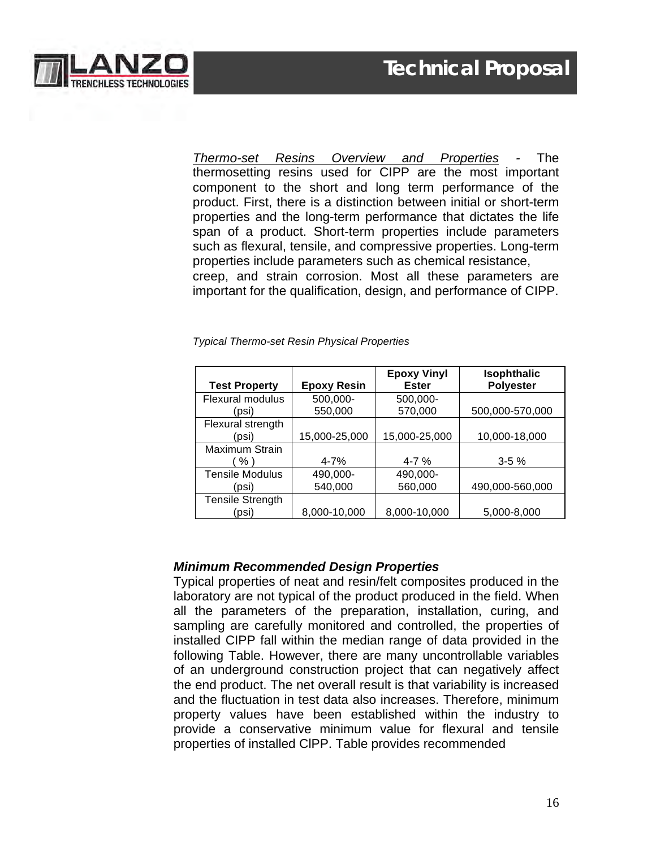

*Thermo-set Resins Overview and Properties -* The thermosetting resins used for CIPP are the most important component to the short and long term performance of the product. First, there is a distinction between initial or short-term properties and the long-term performance that dictates the life span of a product. Short-term properties include parameters such as flexural, tensile, and compressive properties. Long-term properties include parameters such as chemical resistance, creep, and strain corrosion. Most all these parameters are important for the qualification, design, and performance of CIPP.

| <b>Test Property</b>             | <b>Epoxy Resin</b>  | <b>Epoxy Vinyl</b><br><b>Ester</b> | <b>Isophthalic</b><br><b>Polyester</b> |
|----------------------------------|---------------------|------------------------------------|----------------------------------------|
| Flexural modulus<br>(psi)        | 500,000-<br>550,000 | 500,000-<br>570,000                | 500,000-570,000                        |
| Flexural strength<br>(psi)       | 15,000-25,000       | 15,000-25,000                      | 10,000-18,000                          |
| Maximum Strain<br>$%$ )          | $4 - 7%$            | $4 - 7%$                           | $3 - 5%$                               |
| <b>Tensile Modulus</b><br>(psi)  | 490,000-<br>540,000 | 490,000-<br>560,000                | 490,000-560,000                        |
| <b>Tensile Strength</b><br>(psi) | 8,000-10,000        | 8,000-10,000                       | 5,000-8,000                            |

*Typical Thermo-set Resin Physical Properties*

#### *Minimum Recommended Design Properties*

Typical properties of neat and resin/felt composites produced in the laboratory are not typical of the product produced in the field. When all the parameters of the preparation, installation, curing, and sampling are carefully monitored and controlled, the properties of installed CIPP fall within the median range of data provided in the following Table. However, there are many uncontrollable variables of an underground construction project that can negatively affect the end product. The net overall result is that variability is increased and the fluctuation in test data also increases. Therefore, minimum property values have been established within the industry to provide a conservative minimum value for flexural and tensile properties of installed ClPP. Table provides recommended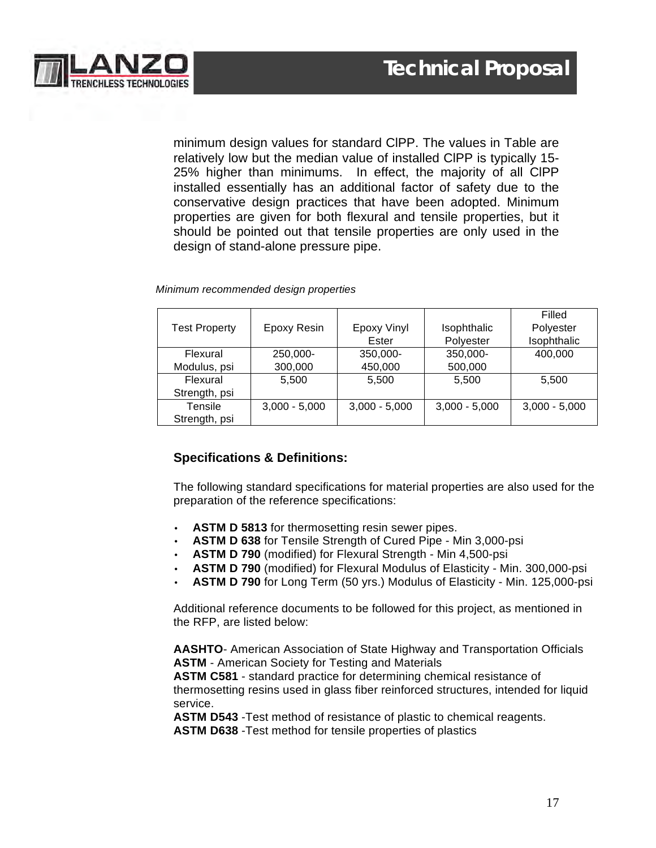

minimum design values for standard ClPP. The values in Table are relatively low but the median value of installed ClPP is typically 15- 25% higher than minimums. In effect, the majority of all ClPP installed essentially has an additional factor of safety due to the conservative design practices that have been adopted. Minimum properties are given for both flexural and tensile properties, but it should be pointed out that tensile properties are only used in the design of stand-alone pressure pipe.

|                      |                 |                    |                 | Filled          |
|----------------------|-----------------|--------------------|-----------------|-----------------|
| <b>Test Property</b> | Epoxy Resin     | <b>Epoxy Vinyl</b> | Isophthalic     | Polyester       |
|                      |                 | Ester              | Polyester       | Isophthalic     |
| Flexural             | 250,000-        | 350,000-           | 350,000-        | 400,000         |
| Modulus, psi         | 300,000         | 450,000            | 500,000         |                 |
| Flexural             | 5,500           | 5,500              | 5,500           | 5,500           |
| Strength, psi        |                 |                    |                 |                 |
| Tensile              | $3,000 - 5,000$ | $3,000 - 5,000$    | $3,000 - 5,000$ | $3,000 - 5,000$ |
| Strength, psi        |                 |                    |                 |                 |

 *Minimum recommended design properties*

#### **Specifications & Definitions:**

The following standard specifications for material properties are also used for the preparation of the reference specifications:

- ASTM D 5813 for thermosetting resin sewer pipes.
- **ASTM D 638** for Tensile Strength of Cured Pipe Min 3,000-psi
- **ASTM D 790** (modified) for Flexural Strength Min 4,500-psi
- **ASTM D 790** (modified) for Flexural Modulus of Elasticity Min. 300,000-psi
- **ASTM D 790** for Long Term (50 yrs.) Modulus of Elasticity Min. 125,000-psi

Additional reference documents to be followed for this project, as mentioned in the RFP, are listed below:

**AASHTO**- American Association of State Highway and Transportation Officials **ASTM** - American Society for Testing and Materials

**ASTM C581** - standard practice for determining chemical resistance of thermosetting resins used in glass fiber reinforced structures, intended for liquid service.

**ASTM D543** -Test method of resistance of plastic to chemical reagents.

**ASTM D638** -Test method for tensile properties of plastics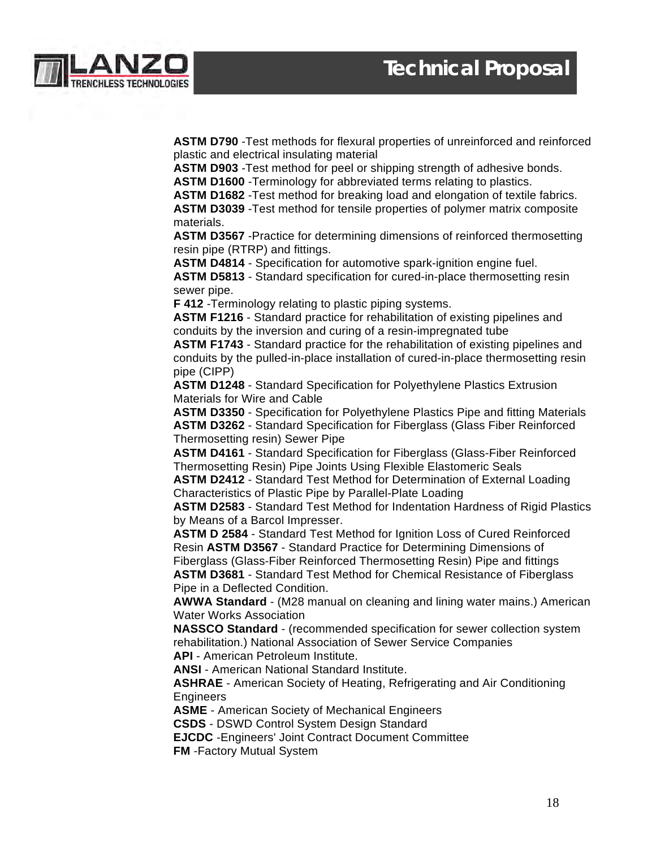

**ASTM D790** -Test methods for flexural properties of unreinforced and reinforced plastic and electrical insulating material

**ASTM D903** -Test method for peel or shipping strength of adhesive bonds.

**ASTM D1600** -Terminology for abbreviated terms relating to plastics.

**ASTM D1682** -Test method for breaking load and elongation of textile fabrics.

**ASTM D3039** -Test method for tensile properties of polymer matrix composite materials.

**ASTM D3567** -Practice for determining dimensions of reinforced thermosetting resin pipe (RTRP) and fittings.

**ASTM D4814** - Specification for automotive spark-ignition engine fuel.

**ASTM D5813** - Standard specification for cured-in-place thermosetting resin sewer pipe.

**F 412** -Terminology relating to plastic piping systems.

**ASTM F1216** - Standard practice for rehabilitation of existing pipelines and conduits by the inversion and curing of a resin-impregnated tube

**ASTM F1743** - Standard practice for the rehabilitation of existing pipelines and conduits by the pulled-in-place installation of cured-in-place thermosetting resin pipe (CIPP)

**ASTM D1248** - Standard Specification for Polyethylene Plastics Extrusion Materials for Wire and Cable

**ASTM D3350** - Specification for Polyethylene Plastics Pipe and fitting Materials **ASTM D3262** - Standard Specification for Fiberglass (Glass Fiber Reinforced Thermosetting resin) Sewer Pipe

**ASTM D4161** - Standard Specification for Fiberglass (Glass-Fiber Reinforced Thermosetting Resin) Pipe Joints Using Flexible Elastomeric Seals

**ASTM D2412** - Standard Test Method for Determination of External Loading Characteristics of Plastic Pipe by Parallel-Plate Loading

**ASTM D2583** - Standard Test Method for Indentation Hardness of Rigid Plastics by Means of a Barcol Impresser.

**ASTM D 2584** - Standard Test Method for Ignition Loss of Cured Reinforced Resin **ASTM D3567** - Standard Practice for Determining Dimensions of Fiberglass (Glass-Fiber Reinforced Thermosetting Resin) Pipe and fittings **ASTM D3681** - Standard Test Method for Chemical Resistance of Fiberglass Pipe in a Deflected Condition.

**AWWA Standard** - (M28 manual on cleaning and lining water mains.) American Water Works Association

**NASSCO Standard** - (recommended specification for sewer collection system rehabilitation.) National Association of Sewer Service Companies **API** - American Petroleum Institute.

**ANSI** - American National Standard Institute.

**ASHRAE** - American Society of Heating, Refrigerating and Air Conditioning **Engineers** 

**ASME** - American Society of Mechanical Engineers

**CSDS** - DSWD Control System Design Standard

**EJCDC** -Engineers' Joint Contract Document Committee

**FM** -Factory Mutual System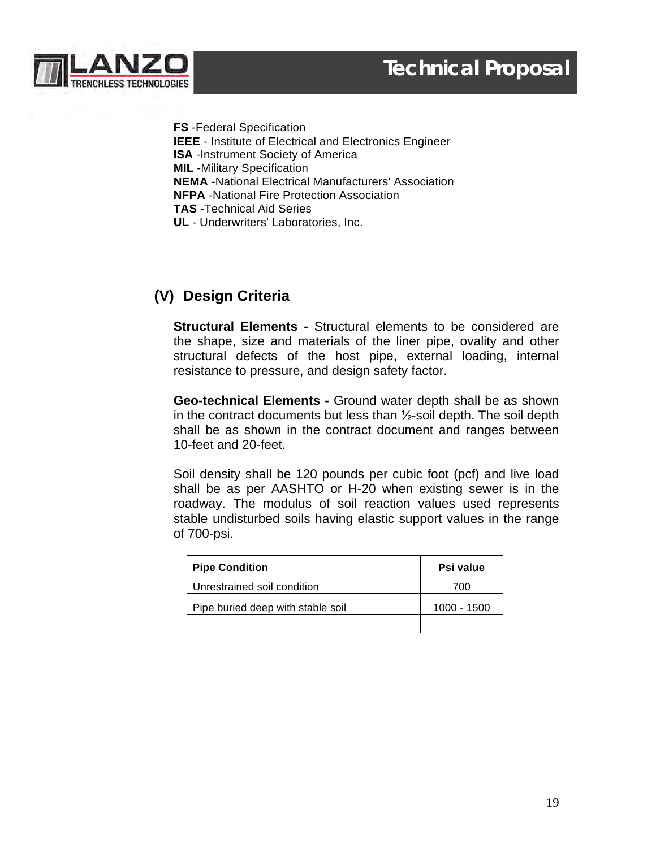



**FS** -Federal Specification **IEEE** - Institute of Electrical and Electronics Engineer **ISA** -Instrument Society of America **MIL** -Military Specification **NEMA** -National Electrical Manufacturers' Association **NFPA** -National Fire Protection Association **TAS** -Technical Aid Series **UL** - Underwriters' Laboratories, Inc.

# **(V) Design Criteria**

**Structural Elements -** Structural elements to be considered are the shape, size and materials of the liner pipe, ovality and other structural defects of the host pipe, external loading, internal resistance to pressure, and design safety factor.

**Geo-technical Elements -** Ground water depth shall be as shown in the contract documents but less than ½-soil depth. The soil depth shall be as shown in the contract document and ranges between 10-feet and 20-feet.

Soil density shall be 120 pounds per cubic foot (pcf) and live load shall be as per AASHTO or H-20 when existing sewer is in the roadway. The modulus of soil reaction values used represents stable undisturbed soils having elastic support values in the range of 700-psi.

| <b>Pipe Condition</b>             | Psi value   |
|-----------------------------------|-------------|
| Unrestrained soil condition       | 700         |
| Pipe buried deep with stable soil | 1000 - 1500 |
|                                   |             |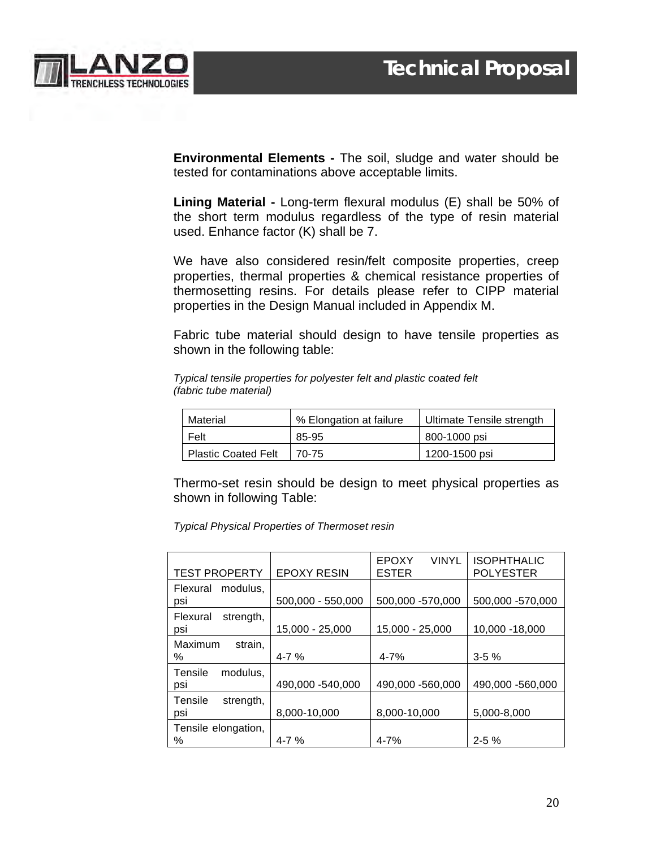

**Environmental Elements -** The soil, sludge and water should be tested for contaminations above acceptable limits.

**Lining Material -** Long-term flexural modulus (E) shall be 50% of the short term modulus regardless of the type of resin material used. Enhance factor (K) shall be 7.

We have also considered resin/felt composite properties, creep properties, thermal properties & chemical resistance properties of thermosetting resins. For details please refer to CIPP material properties in the Design Manual included in Appendix M.

Fabric tube material should design to have tensile properties as shown in the following table:

*Typical tensile properties for polyester felt and plastic coated felt (fabric tube material)*

| Material                   | % Elongation at failure | Ultimate Tensile strength |
|----------------------------|-------------------------|---------------------------|
| Felt                       | 85-95                   | 800-1000 psi              |
| <b>Plastic Coated Felt</b> | 70-75                   | 1200-1500 psi             |

Thermo-set resin should be design to meet physical properties as shown in following Table:

*Typical Physical Properties of Thermoset resin*

| <b>TEST PROPERTY</b>         | <b>EPOXY RESIN</b> | <b>VINYL</b><br><b>EPOXY</b><br><b>ESTER</b> | <b>ISOPHTHALIC</b><br><b>POLYESTER</b> |
|------------------------------|--------------------|----------------------------------------------|----------------------------------------|
| modulus,<br>Flexural<br>psi  | 500,000 - 550,000  | 500,000 -570,000                             | 500,000 -570,000                       |
| Flexural<br>strength,<br>psi | 15,000 - 25,000    | 15.000 - 25.000                              | 10,000 - 18,000                        |
| Maximum<br>strain,<br>℅      | $4 - 7%$           | $4 - 7%$                                     | $3 - 5\%$                              |
| Tensile<br>modulus,<br>psi   | 490,000 -540,000   | 490,000 -560,000                             | 490,000 -560,000                       |
| Tensile<br>strength,<br>psi  | 8,000-10,000       | 8,000-10,000                                 | 5,000-8,000                            |
| Tensile elongation,<br>℅     | $4 - 7%$           | $4 - 7%$                                     | $2 - 5\%$                              |